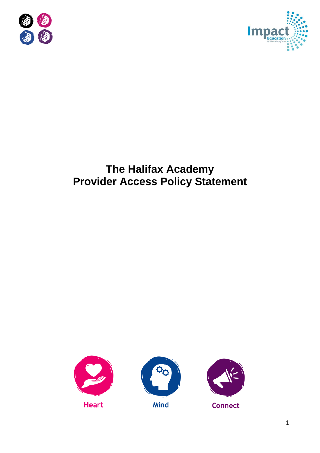



# **The Halifax Academy Provider Access Policy Statement**





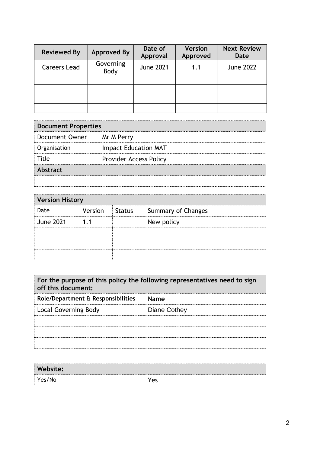| <b>Reviewed By</b>  | <b>Approved By</b> | Date of<br>Approval | <b>Version</b><br>Approved | <b>Next Review</b><br>Date |
|---------------------|--------------------|---------------------|----------------------------|----------------------------|
| <b>Careers Lead</b> | Governing<br>Body  | <b>June 2021</b>    | 1.1                        | <b>June 2022</b>           |
|                     |                    |                     |                            |                            |
|                     |                    |                     |                            |                            |
|                     |                    |                     |                            |                            |
|                     |                    |                     |                            |                            |

| <b>Document Properties</b> |                               |  |
|----------------------------|-------------------------------|--|
| Document Owner             | Mr M Perry                    |  |
| Organisation               | <b>Impact Education MAT</b>   |  |
| Title                      | <b>Provider Access Policy</b> |  |
| <b>Abstract</b>            |                               |  |
|                            |                               |  |

| <b>Version History</b> |                |  |                    |
|------------------------|----------------|--|--------------------|
| Date                   | Version Status |  | Summary of Changes |
| <b>June 2021</b>       | - 1            |  | New policy         |
|                        |                |  |                    |
|                        |                |  |                    |
|                        |                |  |                    |

| For the purpose of this policy the following representatives need to sign<br>off this document: |              |  |
|-------------------------------------------------------------------------------------------------|--------------|--|
| Role/Department & Responsibilities                                                              | <b>Name</b>  |  |
| Local Governing Body                                                                            | Diane Cothey |  |
|                                                                                                 |              |  |
|                                                                                                 |              |  |
|                                                                                                 |              |  |

| Website: |     |
|----------|-----|
| Yes/No   | Yes |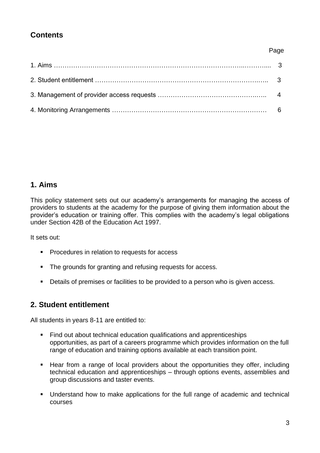# **Contents**

#### Page

## **1. Aims**

This policy statement sets out our academy's arrangements for managing the access of providers to students at the academy for the purpose of giving them information about the provider's education or training offer. This complies with the academy's legal obligations under Section 42B of the Education Act 1997.

It sets out:

- Procedures in relation to requests for access
- The grounds for granting and refusing requests for access.
- Details of premises or facilities to be provided to a person who is given access.

# **2. Student entitlement**

All students in years 8-11 are entitled to:

- Find out about technical education qualifications and apprenticeships opportunities, as part of a careers programme which provides information on the full range of education and training options available at each transition point.
- Hear from a range of local providers about the opportunities they offer, including technical education and apprenticeships – through options events, assemblies and group discussions and taster events.
- Understand how to make applications for the full range of academic and technical courses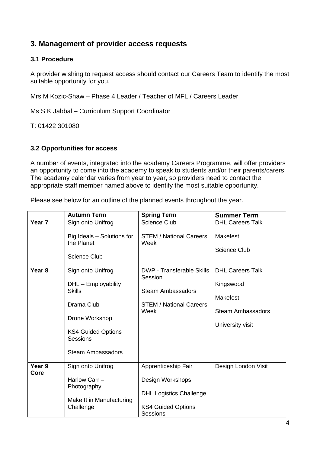## **3. Management of provider access requests**

#### **3.1 Procedure**

A provider wishing to request access should contact our Careers Team to identify the most suitable opportunity for you.

Mrs M Kozic-Shaw – Phase 4 Leader / Teacher of MFL / Careers Leader

Ms S K Jabbal – Curriculum Support Coordinator

T: 01422 301080

#### **3.2 Opportunities for access**

A number of events, integrated into the academy Careers Programme, will offer providers an opportunity to come into the academy to speak to students and/or their parents/carers. The academy calendar varies from year to year, so providers need to contact the appropriate staff member named above to identify the most suitable opportunity.

Please see below for an outline of the planned events throughout the year.

|                   | <b>Autumn Term</b>                                              | <b>Spring Term</b>                           | <b>Summer Term</b>                          |
|-------------------|-----------------------------------------------------------------|----------------------------------------------|---------------------------------------------|
| Year <sub>7</sub> | Sign onto Unifrog                                               | <b>Science Club</b>                          | <b>DHL Careers Talk</b>                     |
|                   | Big Ideals - Solutions for<br>the Planet<br><b>Science Club</b> | <b>STEM / National Careers</b><br>Week       | <b>Makefest</b><br><b>Science Club</b>      |
| Year <sub>8</sub> | Sign onto Unifrog                                               | <b>DWP</b> - Transferable Skills             | <b>DHL Careers Talk</b>                     |
|                   | DHL - Employability<br><b>Skills</b>                            | Session<br><b>Steam Ambassadors</b>          | Kingswood                                   |
|                   | Drama Club                                                      | <b>STEM / National Careers</b><br>Week       | <b>Makefest</b><br><b>Steam Ambassadors</b> |
|                   | Drone Workshop                                                  |                                              | University visit                            |
|                   | <b>KS4 Guided Options</b><br>Sessions                           |                                              |                                             |
|                   | <b>Steam Ambassadors</b>                                        |                                              |                                             |
| Year 9<br>Core    | Sign onto Unifrog                                               | Apprenticeship Fair                          | Design London Visit                         |
|                   | Harlow Carr -<br>Photography                                    | Design Workshops                             |                                             |
|                   | Make It in Manufacturing                                        | <b>DHL Logistics Challenge</b>               |                                             |
|                   | Challenge                                                       | <b>KS4 Guided Options</b><br><b>Sessions</b> |                                             |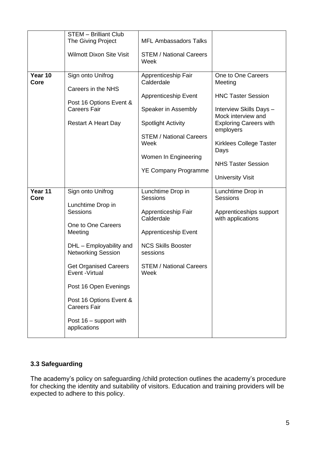|                 | <b>STEM - Brilliant Club</b>                                                                                                                                                                                                                                                                                        |                                                                                                                                                                                                                       |                                                                                                                                                                                                                                                      |
|-----------------|---------------------------------------------------------------------------------------------------------------------------------------------------------------------------------------------------------------------------------------------------------------------------------------------------------------------|-----------------------------------------------------------------------------------------------------------------------------------------------------------------------------------------------------------------------|------------------------------------------------------------------------------------------------------------------------------------------------------------------------------------------------------------------------------------------------------|
|                 | The Giving Project                                                                                                                                                                                                                                                                                                  | <b>MFL Ambassadors Talks</b>                                                                                                                                                                                          |                                                                                                                                                                                                                                                      |
|                 | <b>Wilmott Dixon Site Visit</b>                                                                                                                                                                                                                                                                                     | <b>STEM / National Careers</b><br>Week                                                                                                                                                                                |                                                                                                                                                                                                                                                      |
| Year 10<br>Core | Sign onto Unifrog<br>Careers in the NHS<br>Post 16 Options Event &<br><b>Careers Fair</b><br><b>Restart A Heart Day</b>                                                                                                                                                                                             | Apprenticeship Fair<br>Calderdale<br><b>Apprenticeship Event</b><br>Speaker in Assembly<br><b>Spotlight Activity</b><br><b>STEM / National Careers</b><br>Week<br>Women In Engineering<br><b>YE Company Programme</b> | One to One Careers<br>Meeting<br><b>HNC Taster Session</b><br>Interview Skills Days -<br>Mock interview and<br><b>Exploring Careers with</b><br>employers<br>Kirklees College Taster<br>Days<br><b>NHS Taster Session</b><br><b>University Visit</b> |
| Year 11<br>Core | Sign onto Unifrog<br>Lunchtime Drop in<br>Sessions<br>One to One Careers<br>Meeting<br>DHL - Employability and<br><b>Networking Session</b><br><b>Get Organised Careers</b><br>Event - Virtual<br>Post 16 Open Evenings<br>Post 16 Options Event &<br><b>Careers Fair</b><br>Post 16 - support with<br>applications | Lunchtime Drop in<br><b>Sessions</b><br>Apprenticeship Fair<br>Calderdale<br><b>Apprenticeship Event</b><br><b>NCS Skills Booster</b><br>sessions<br><b>STEM / National Careers</b><br>Week                           | Lunchtime Drop in<br>Sessions<br>Apprenticeships support<br>with applications                                                                                                                                                                        |

## **3.3 Safeguarding**

The academy's policy on safeguarding /child protection outlines the academy's procedure for checking the identity and suitability of visitors. Education and training providers will be expected to adhere to this policy.